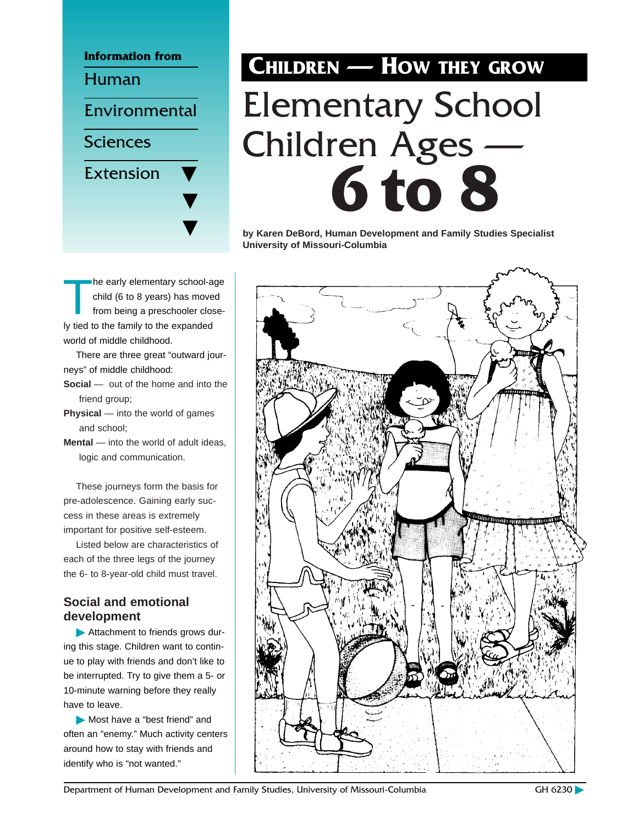

The early elementary school-age<br>
child (6 to 8 years) has moved<br>
from being a preschooler closechild (6 to 8 years) has moved ly tied to the family to the expanded world of middle childhood.

There are three great "outward journeys" of middle childhood:

- **Social** out of the home and into the friend group;
- **Physical** into the world of games and school;

**Mental** — into the world of adult ideas, logic and communication.

These journeys form the basis for pre-adolescence. Gaining early success in these areas is extremely important for positive self-esteem.

Listed below are characteristics of each of the three legs of the journey the 6- to 8-year-old child must travel.

## **Social and emotional development**

© Attachment to friends grows during this stage. Children want to continue to play with friends and don't like to be interrupted. Try to give them a 5- or 10-minute warning before they really have to leave.

© Most have a "best friend" and often an "enemy." Much activity centers around how to stay with friends and identify who is "not wanted."

# **CHILDREN — HOW THEY GROW** Elementary School Children Ages — **6 to 8**

**by Karen DeBord, Human Development and Family Studies Specialist University of Missouri-Columbia**



Department of Human Development and Family Studies, University of Missouri-Columbia GH 6230 GH 6230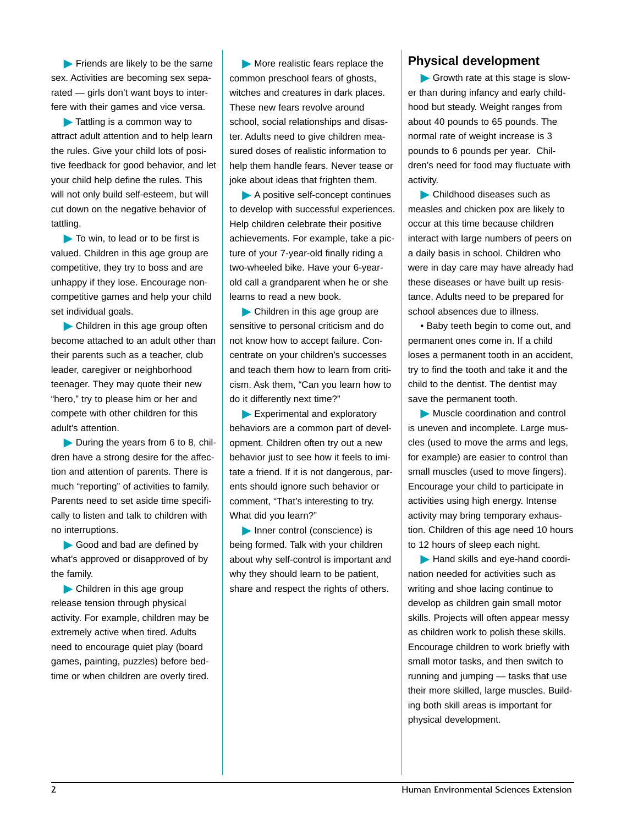© Friends are likely to be the same sex. Activities are becoming sex separated — girls don't want boys to interfere with their games and vice versa.

© Tattling is a common way to attract adult attention and to help learn the rules. Give your child lots of positive feedback for good behavior, and let your child help define the rules. This will not only build self-esteem, but will cut down on the negative behavior of tattling.

© To win, to lead or to be first is valued. Children in this age group are competitive, they try to boss and are unhappy if they lose. Encourage noncompetitive games and help your child set individual goals.

© Children in this age group often become attached to an adult other than their parents such as a teacher, club leader, caregiver or neighborhood teenager. They may quote their new "hero," try to please him or her and compete with other children for this adult's attention.

© During the years from 6 to 8, children have a strong desire for the affection and attention of parents. There is much "reporting" of activities to family. Parents need to set aside time specifically to listen and talk to children with no interruptions.

Good and bad are defined by what's approved or disapproved of by the family.

© Children in this age group release tension through physical activity. For example, children may be extremely active when tired. Adults need to encourage quiet play (board games, painting, puzzles) before bedtime or when children are overly tired.

© More realistic fears replace the common preschool fears of ghosts, witches and creatures in dark places. These new fears revolve around school, social relationships and disaster. Adults need to give children measured doses of realistic information to help them handle fears. Never tease or joke about ideas that frighten them.

© A positive self-concept continues to develop with successful experiences. Help children celebrate their positive achievements. For example, take a picture of your 7-year-old finally riding a two-wheeled bike. Have your 6-yearold call a grandparent when he or she learns to read a new book.

© Children in this age group are sensitive to personal criticism and do not know how to accept failure. Concentrate on your children's successes and teach them how to learn from criticism. Ask them, "Can you learn how to do it differently next time?"

© Experimental and exploratory behaviors are a common part of development. Children often try out a new behavior just to see how it feels to imitate a friend. If it is not dangerous, parents should ignore such behavior or comment, "That's interesting to try. What did you learn?"

© Inner control (conscience) is being formed. Talk with your children about why self-control is important and why they should learn to be patient, share and respect the rights of others.

#### **Physical development**

© Growth rate at this stage is slower than during infancy and early childhood but steady. Weight ranges from about 40 pounds to 65 pounds. The normal rate of weight increase is 3 pounds to 6 pounds per year. Children's need for food may fluctuate with activity.

© Childhood diseases such as measles and chicken pox are likely to occur at this time because children interact with large numbers of peers on a daily basis in school. Children who were in day care may have already had these diseases or have built up resistance. Adults need to be prepared for school absences due to illness.

• Baby teeth begin to come out, and permanent ones come in. If a child loses a permanent tooth in an accident, try to find the tooth and take it and the child to the dentist. The dentist may save the permanent tooth.

© Muscle coordination and control is uneven and incomplete. Large muscles (used to move the arms and legs, for example) are easier to control than small muscles (used to move fingers). Encourage your child to participate in activities using high energy. Intense activity may bring temporary exhaustion. Children of this age need 10 hours to 12 hours of sleep each night.

© Hand skills and eye-hand coordination needed for activities such as writing and shoe lacing continue to develop as children gain small motor skills. Projects will often appear messy as children work to polish these skills. Encourage children to work briefly with small motor tasks, and then switch to running and jumping — tasks that use their more skilled, large muscles. Building both skill areas is important for physical development.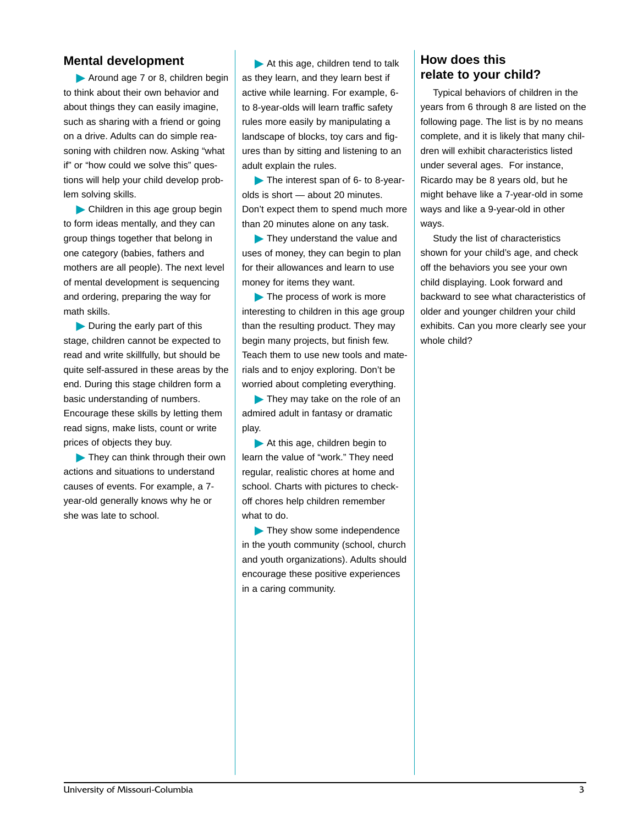#### **Mental development**

© Around age 7 or 8, children begin to think about their own behavior and about things they can easily imagine, such as sharing with a friend or going on a drive. Adults can do simple reasoning with children now. Asking "what if" or "how could we solve this" questions will help your child develop problem solving skills.

© Children in this age group begin to form ideas mentally, and they can group things together that belong in one category (babies, fathers and mothers are all people). The next level of mental development is sequencing and ordering, preparing the way for math skills.

© During the early part of this stage, children cannot be expected to read and write skillfully, but should be quite self-assured in these areas by the end. During this stage children form a basic understanding of numbers. Encourage these skills by letting them read signs, make lists, count or write prices of objects they buy.

© They can think through their own actions and situations to understand causes of events. For example, a 7 year-old generally knows why he or she was late to school.

© At this age, children tend to talk as they learn, and they learn best if active while learning. For example, 6 to 8-year-olds will learn traffic safety rules more easily by manipulating a landscape of blocks, toy cars and figures than by sitting and listening to an adult explain the rules.

The interest span of 6- to 8-yearolds is short — about 20 minutes. Don't expect them to spend much more than 20 minutes alone on any task.

© They understand the value and uses of money, they can begin to plan for their allowances and learn to use money for items they want.

© The process of work is more interesting to children in this age group than the resulting product. They may begin many projects, but finish few. Teach them to use new tools and materials and to enjoy exploring. Don't be worried about completing everything.

© They may take on the role of an admired adult in fantasy or dramatic play.

© At this age, children begin to learn the value of "work." They need regular, realistic chores at home and school. Charts with pictures to checkoff chores help children remember what to do.

© They show some independence in the youth community (school, church and youth organizations). Adults should encourage these positive experiences in a caring community.

### **How does this relate to your child?**

Typical behaviors of children in the years from 6 through 8 are listed on the following page. The list is by no means complete, and it is likely that many children will exhibit characteristics listed under several ages. For instance, Ricardo may be 8 years old, but he might behave like a 7-year-old in some ways and like a 9-year-old in other ways.

Study the list of characteristics shown for your child's age, and check off the behaviors you see your own child displaying. Look forward and backward to see what characteristics of older and younger children your child exhibits. Can you more clearly see your whole child?